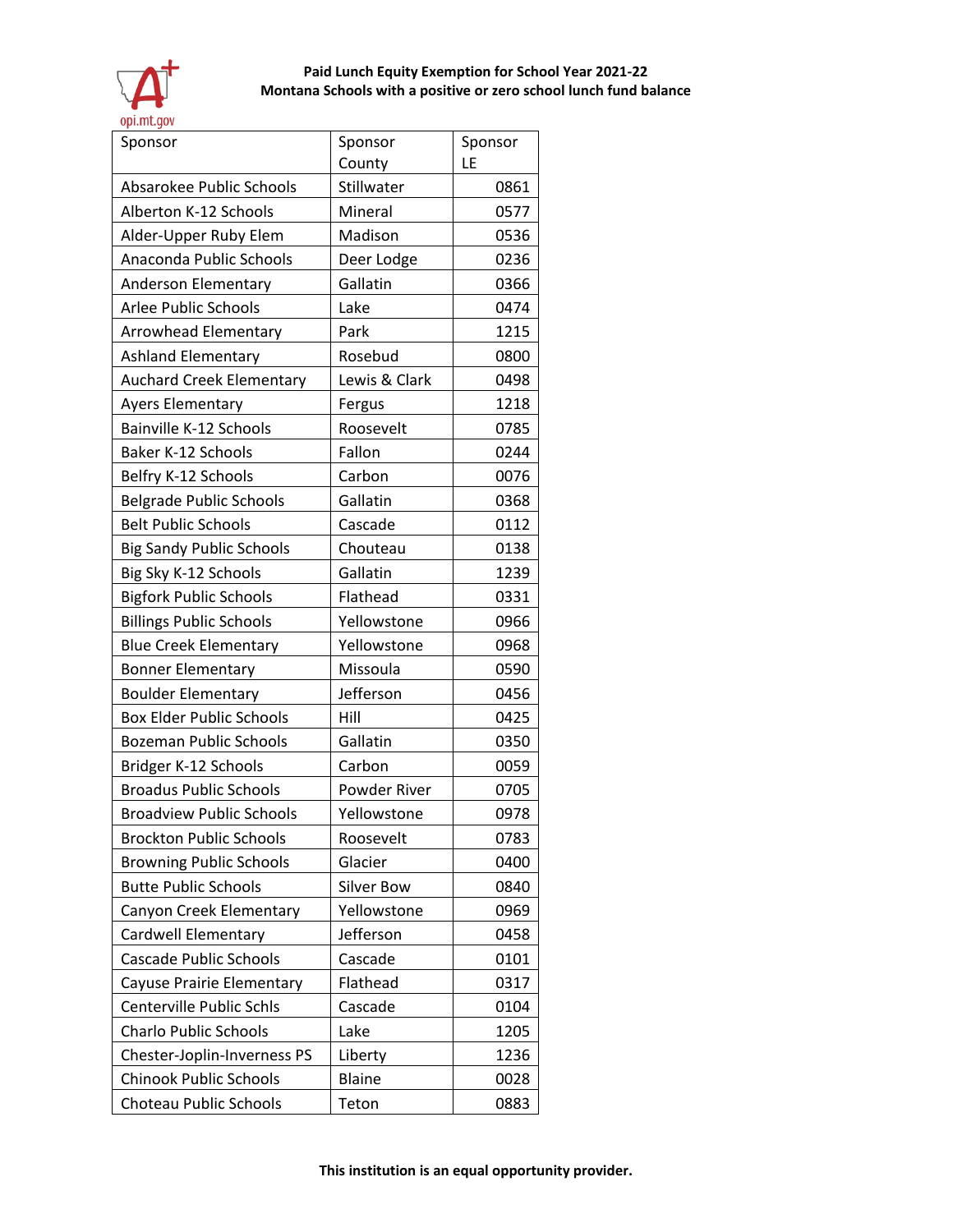

| Sponsor                         | Sponsor           | Sponsor |
|---------------------------------|-------------------|---------|
|                                 | County            | LE      |
| <b>Absarokee Public Schools</b> | Stillwater        | 0861    |
| Alberton K-12 Schools           | Mineral           | 0577    |
| Alder-Upper Ruby Elem           | Madison           | 0536    |
| Anaconda Public Schools         | Deer Lodge        | 0236    |
| Anderson Elementary             | Gallatin          | 0366    |
| <b>Arlee Public Schools</b>     | Lake              | 0474    |
| Arrowhead Elementary            | Park              | 1215    |
| <b>Ashland Elementary</b>       | Rosebud           | 0800    |
| <b>Auchard Creek Elementary</b> | Lewis & Clark     | 0498    |
| Ayers Elementary                | Fergus            | 1218    |
| Bainville K-12 Schools          | Roosevelt         | 0785    |
| <b>Baker K-12 Schools</b>       | Fallon            | 0244    |
| Belfry K-12 Schools             | Carbon            | 0076    |
| <b>Belgrade Public Schools</b>  | Gallatin          | 0368    |
| <b>Belt Public Schools</b>      | Cascade           | 0112    |
| <b>Big Sandy Public Schools</b> | Chouteau          | 0138    |
| Big Sky K-12 Schools            | Gallatin          | 1239    |
| <b>Bigfork Public Schools</b>   | Flathead          | 0331    |
| <b>Billings Public Schools</b>  | Yellowstone       | 0966    |
| <b>Blue Creek Elementary</b>    | Yellowstone       | 0968    |
| <b>Bonner Elementary</b>        | Missoula          | 0590    |
| <b>Boulder Elementary</b>       | Jefferson         | 0456    |
| <b>Box Elder Public Schools</b> | Hill              | 0425    |
| <b>Bozeman Public Schools</b>   | Gallatin          | 0350    |
| Bridger K-12 Schools            | Carbon            | 0059    |
| <b>Broadus Public Schools</b>   | Powder River      | 0705    |
| <b>Broadview Public Schools</b> | Yellowstone       | 0978    |
| <b>Brockton Public Schools</b>  | Roosevelt         | 0783    |
| <b>Browning Public Schools</b>  | Glacier           | 0400    |
| <b>Butte Public Schools</b>     | <b>Silver Bow</b> | 0840    |
| Canyon Creek Elementary         | Yellowstone       | 0969    |
| Cardwell Elementary             | Jefferson         | 0458    |
| <b>Cascade Public Schools</b>   | Cascade           | 0101    |
| Cayuse Prairie Elementary       | Flathead          | 0317    |
| Centerville Public Schls        | Cascade           | 0104    |
| <b>Charlo Public Schools</b>    | Lake              | 1205    |
| Chester-Joplin-Inverness PS     | Liberty           | 1236    |
| <b>Chinook Public Schools</b>   | <b>Blaine</b>     | 0028    |
| Choteau Public Schools          | Teton             | 0883    |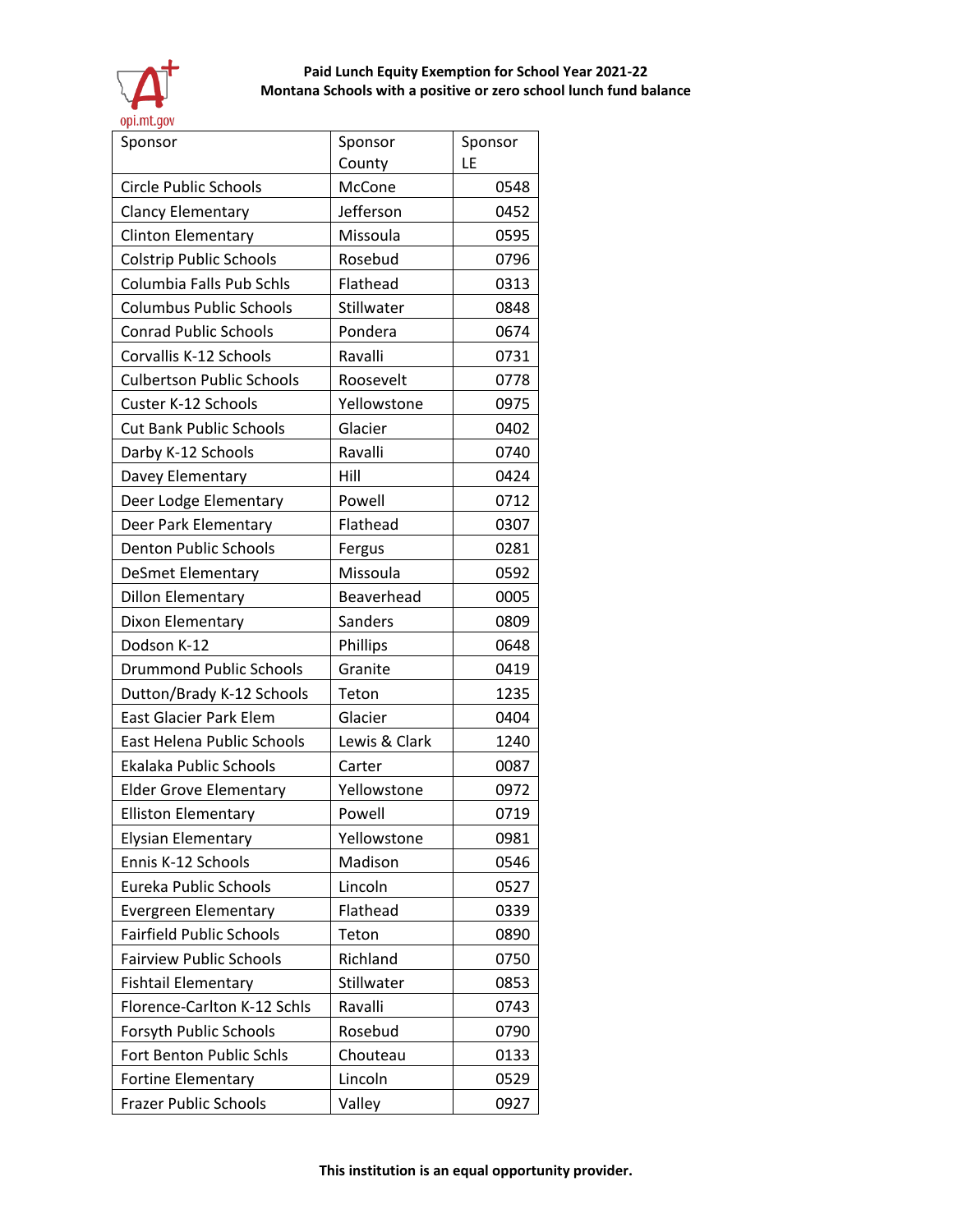

| Sponsor                          | Sponsor       | Sponsor |
|----------------------------------|---------------|---------|
|                                  | County        | LE      |
| <b>Circle Public Schools</b>     | McCone        | 0548    |
| Clancy Elementary                | Jefferson     | 0452    |
| <b>Clinton Elementary</b>        | Missoula      | 0595    |
| <b>Colstrip Public Schools</b>   | Rosebud       | 0796    |
| Columbia Falls Pub Schls         | Flathead      | 0313    |
| <b>Columbus Public Schools</b>   | Stillwater    | 0848    |
| <b>Conrad Public Schools</b>     | Pondera       | 0674    |
| Corvallis K-12 Schools           | Ravalli       | 0731    |
| <b>Culbertson Public Schools</b> | Roosevelt     | 0778    |
| Custer K-12 Schools              | Yellowstone   | 0975    |
| <b>Cut Bank Public Schools</b>   | Glacier       | 0402    |
| Darby K-12 Schools               | Ravalli       | 0740    |
| Davey Elementary                 | Hill          | 0424    |
| Deer Lodge Elementary            | Powell        | 0712    |
| Deer Park Elementary             | Flathead      | 0307    |
| <b>Denton Public Schools</b>     | Fergus        | 0281    |
| <b>DeSmet Elementary</b>         | Missoula      | 0592    |
| <b>Dillon Elementary</b>         | Beaverhead    | 0005    |
| Dixon Elementary                 | Sanders       | 0809    |
| Dodson K-12                      | Phillips      | 0648    |
| <b>Drummond Public Schools</b>   | Granite       | 0419    |
| Dutton/Brady K-12 Schools        | Teton         | 1235    |
| East Glacier Park Elem           | Glacier       | 0404    |
| East Helena Public Schools       | Lewis & Clark | 1240    |
| Ekalaka Public Schools           | Carter        | 0087    |
| <b>Elder Grove Elementary</b>    | Yellowstone   | 0972    |
| <b>Elliston Elementary</b>       | Powell        | 0719    |
| <b>Elysian Elementary</b>        | Yellowstone   | 0981    |
| Ennis K-12 Schools               | Madison       | 0546    |
| Eureka Public Schools            | Lincoln       | 0527    |
| Evergreen Elementary             | Flathead      | 0339    |
| <b>Fairfield Public Schools</b>  | Teton         | 0890    |
| <b>Fairview Public Schools</b>   | Richland      | 0750    |
| <b>Fishtail Elementary</b>       | Stillwater    | 0853    |
| Florence-Carlton K-12 Schls      | Ravalli       | 0743    |
| Forsyth Public Schools           | Rosebud       | 0790    |
| Fort Benton Public Schls         | Chouteau      | 0133    |
| <b>Fortine Elementary</b>        | Lincoln       | 0529    |
| <b>Frazer Public Schools</b>     | Valley        | 0927    |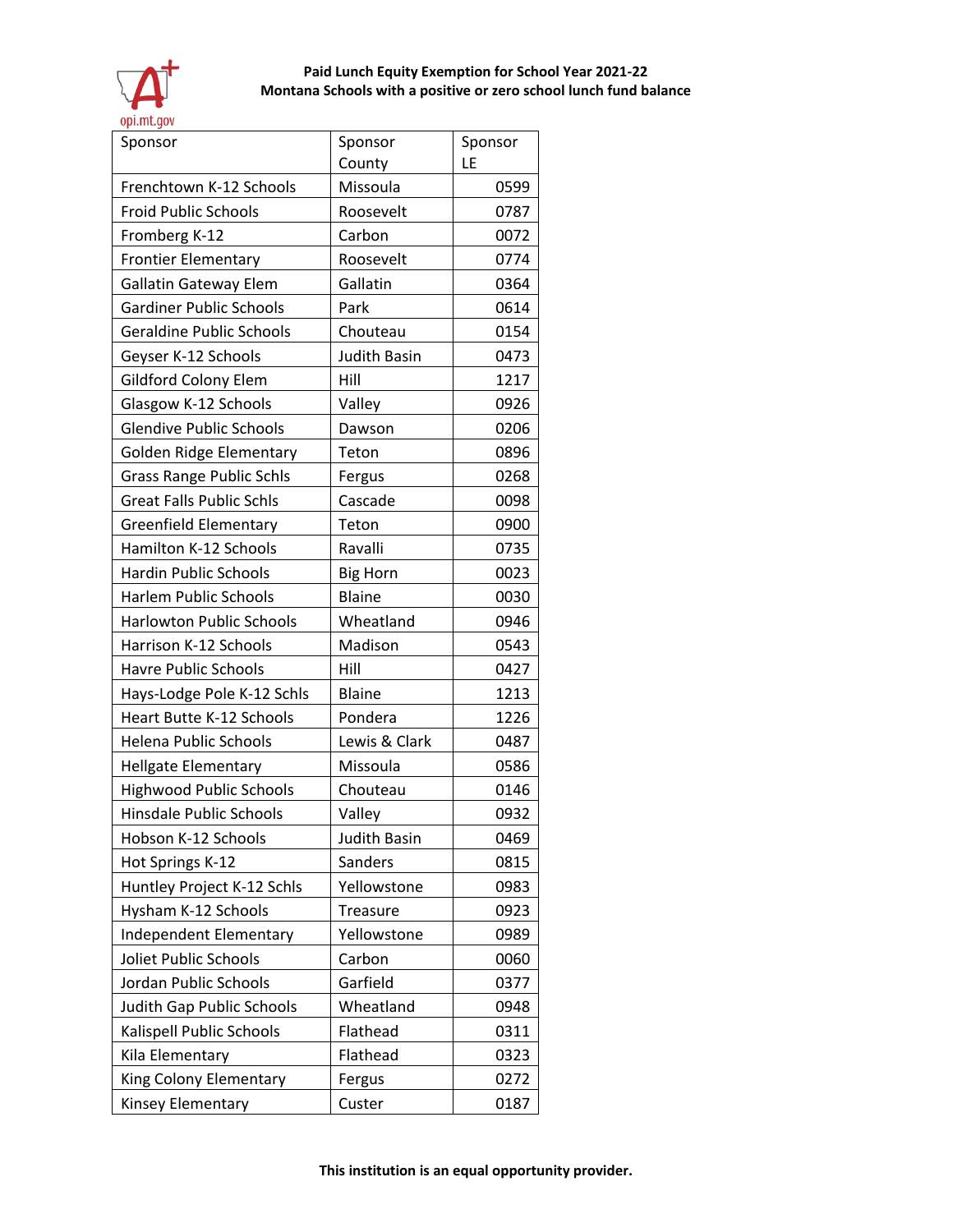

| Sponsor                         | Sponsor             | Sponsor |
|---------------------------------|---------------------|---------|
|                                 | County              | LE      |
| Frenchtown K-12 Schools         | Missoula            | 0599    |
| <b>Froid Public Schools</b>     | Roosevelt           | 0787    |
| Fromberg K-12                   | Carbon              | 0072    |
| <b>Frontier Elementary</b>      | Roosevelt           | 0774    |
| <b>Gallatin Gateway Elem</b>    | Gallatin            | 0364    |
| <b>Gardiner Public Schools</b>  | Park                | 0614    |
| <b>Geraldine Public Schools</b> | Chouteau            | 0154    |
| Geyser K-12 Schools             | <b>Judith Basin</b> | 0473    |
| Gildford Colony Elem            | Hill                | 1217    |
| Glasgow K-12 Schools            | Valley              | 0926    |
| <b>Glendive Public Schools</b>  | Dawson              | 0206    |
| Golden Ridge Elementary         | Teton               | 0896    |
| <b>Grass Range Public Schls</b> | Fergus              | 0268    |
| <b>Great Falls Public Schls</b> | Cascade             | 0098    |
| <b>Greenfield Elementary</b>    | Teton               | 0900    |
| Hamilton K-12 Schools           | Ravalli             | 0735    |
| <b>Hardin Public Schools</b>    | <b>Big Horn</b>     | 0023    |
| <b>Harlem Public Schools</b>    | <b>Blaine</b>       | 0030    |
| <b>Harlowton Public Schools</b> | Wheatland           | 0946    |
| Harrison K-12 Schools           | Madison             | 0543    |
| <b>Havre Public Schools</b>     | Hill                | 0427    |
| Hays-Lodge Pole K-12 Schls      | <b>Blaine</b>       | 1213    |
| Heart Butte K-12 Schools        | Pondera             | 1226    |
| <b>Helena Public Schools</b>    | Lewis & Clark       | 0487    |
| <b>Hellgate Elementary</b>      | Missoula            | 0586    |
| <b>Highwood Public Schools</b>  | Chouteau            | 0146    |
| <b>Hinsdale Public Schools</b>  | Valley              | 0932    |
| Hobson K-12 Schools             | Judith Basin        | 0469    |
| Hot Springs K-12                | Sanders             | 0815    |
| Huntley Project K-12 Schls      | Yellowstone         | 0983    |
| Hysham K-12 Schools             | Treasure            | 0923    |
| Independent Elementary          | Yellowstone         | 0989    |
| Joliet Public Schools           | Carbon              | 0060    |
| Jordan Public Schools           | Garfield            | 0377    |
| Judith Gap Public Schools       | Wheatland           | 0948    |
| Kalispell Public Schools        | Flathead            | 0311    |
| Kila Elementary                 | Flathead            | 0323    |
| King Colony Elementary          | Fergus              | 0272    |
| Kinsey Elementary               | Custer              | 0187    |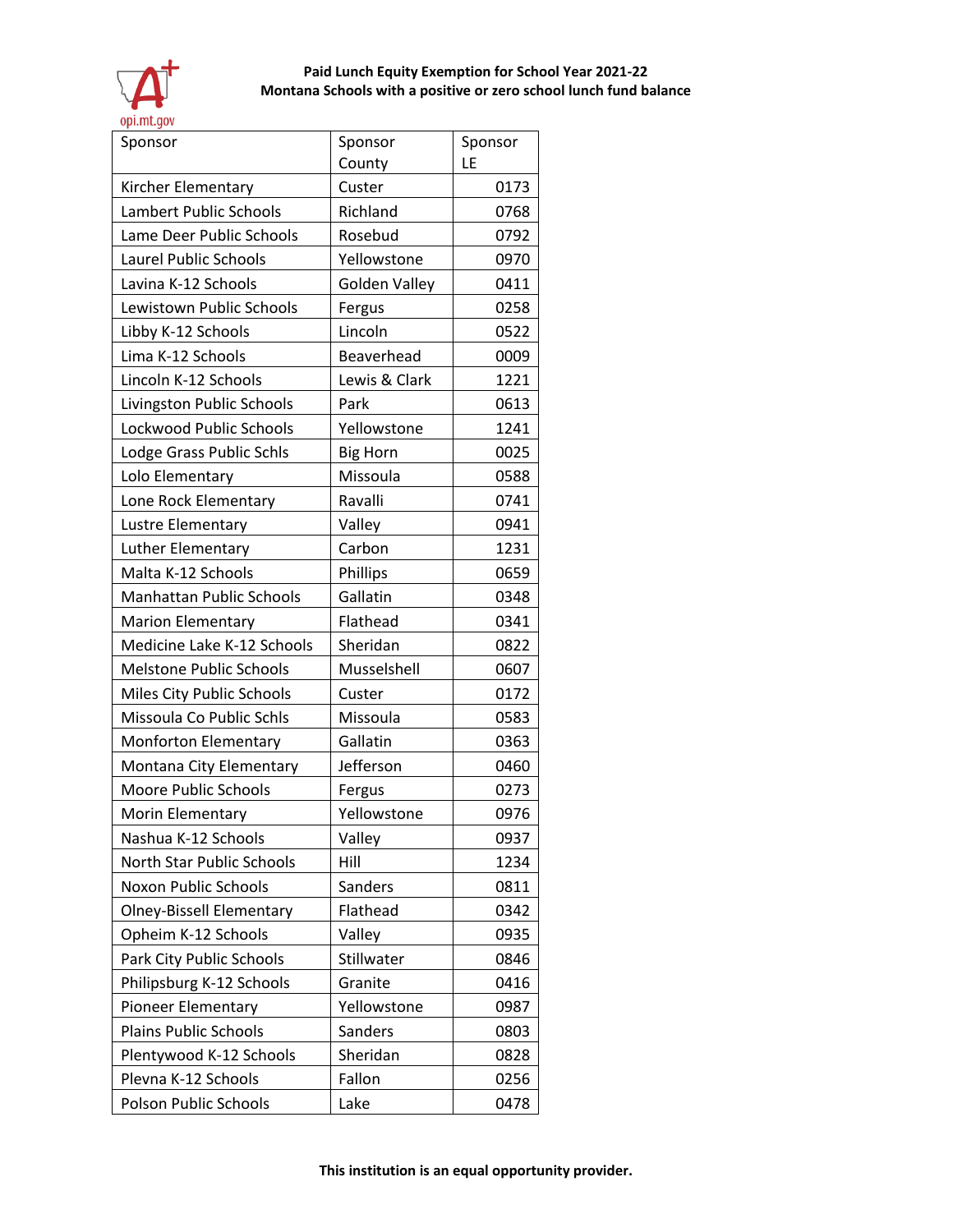

| Sponsor                         | Sponsor         | Sponsor |
|---------------------------------|-----------------|---------|
|                                 | County          | LE      |
| Kircher Elementary              | Custer          | 0173    |
| Lambert Public Schools          | Richland        | 0768    |
| Lame Deer Public Schools        | Rosebud         | 0792    |
| Laurel Public Schools           | Yellowstone     | 0970    |
| Lavina K-12 Schools             | Golden Valley   | 0411    |
| Lewistown Public Schools        | Fergus          | 0258    |
| Libby K-12 Schools              | Lincoln         | 0522    |
| Lima K-12 Schools               | Beaverhead      | 0009    |
| Lincoln K-12 Schools            | Lewis & Clark   | 1221    |
| Livingston Public Schools       | Park            | 0613    |
| Lockwood Public Schools         | Yellowstone     | 1241    |
| Lodge Grass Public Schls        | <b>Big Horn</b> | 0025    |
| Lolo Elementary                 | Missoula        | 0588    |
| Lone Rock Elementary            | Ravalli         | 0741    |
| Lustre Elementary               | Valley          | 0941    |
| Luther Elementary               | Carbon          | 1231    |
| Malta K-12 Schools              | Phillips        | 0659    |
| <b>Manhattan Public Schools</b> | Gallatin        | 0348    |
| <b>Marion Elementary</b>        | Flathead        | 0341    |
| Medicine Lake K-12 Schools      | Sheridan        | 0822    |
| <b>Melstone Public Schools</b>  | Musselshell     | 0607    |
| Miles City Public Schools       | Custer          | 0172    |
| Missoula Co Public Schls        | Missoula        | 0583    |
| <b>Monforton Elementary</b>     | Gallatin        | 0363    |
| Montana City Elementary         | Jefferson       | 0460    |
| <b>Moore Public Schools</b>     | Fergus          | 0273    |
| Morin Elementary                | Yellowstone     | 0976    |
| Nashua K-12 Schools             | Valley          | 0937    |
| North Star Public Schools       | Hill            | 1234    |
| Noxon Public Schools            | Sanders         | 0811    |
| <b>Olney-Bissell Elementary</b> | Flathead        | 0342    |
| Opheim K-12 Schools             | Valley          | 0935    |
| Park City Public Schools        | Stillwater      | 0846    |
| Philipsburg K-12 Schools        | Granite         | 0416    |
| <b>Pioneer Elementary</b>       | Yellowstone     | 0987    |
| <b>Plains Public Schools</b>    | Sanders         | 0803    |
| Plentywood K-12 Schools         | Sheridan        | 0828    |
| Plevna K-12 Schools             | Fallon          | 0256    |
| Polson Public Schools           | Lake            | 0478    |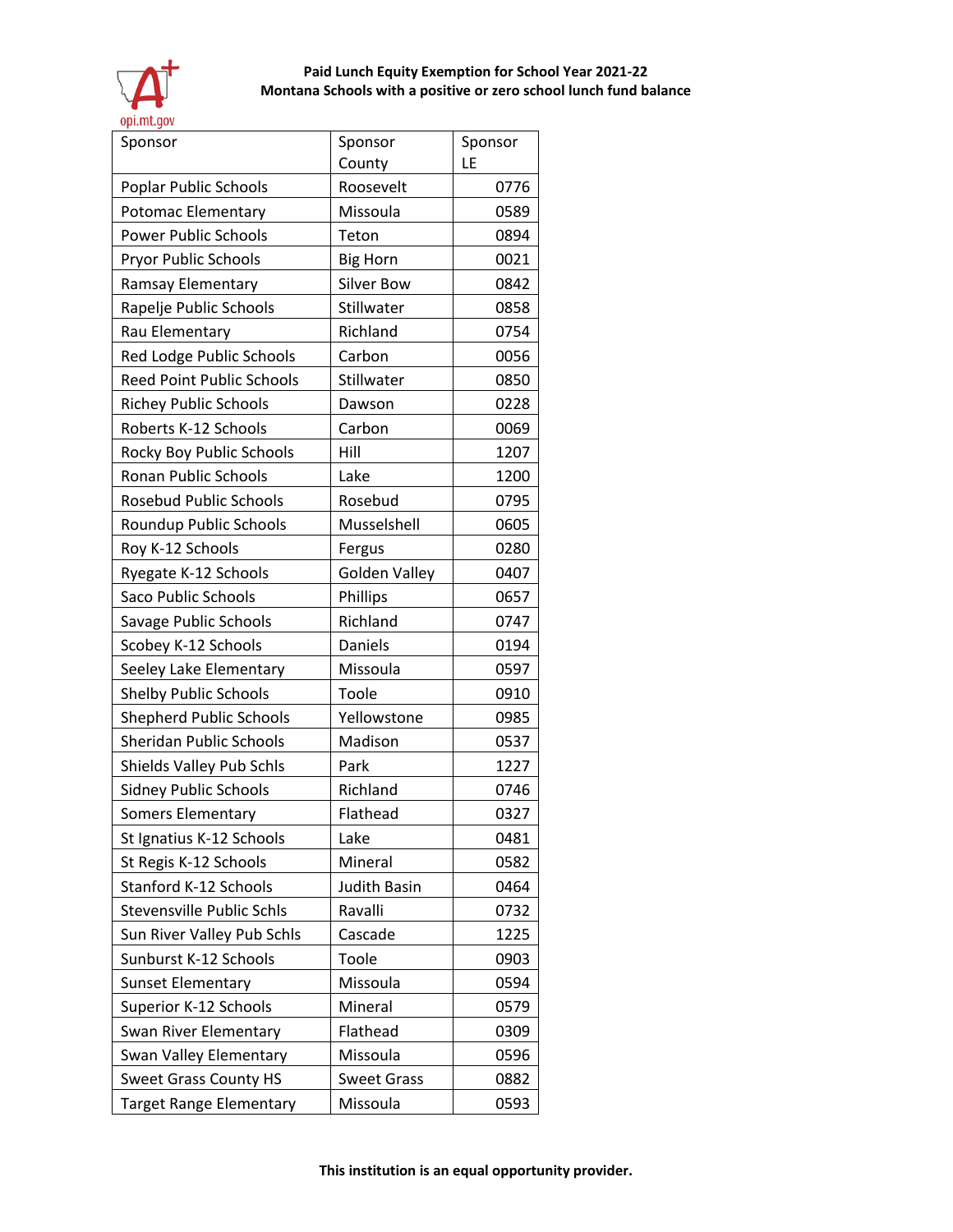

| Sponsor                          | Sponsor            | Sponsor |
|----------------------------------|--------------------|---------|
|                                  | County             | LE      |
| Poplar Public Schools            | Roosevelt          | 0776    |
| Potomac Elementary               | Missoula           | 0589    |
| <b>Power Public Schools</b>      | Teton              | 0894    |
| Pryor Public Schools             | <b>Big Horn</b>    | 0021    |
| Ramsay Elementary                | <b>Silver Bow</b>  | 0842    |
| Rapelje Public Schools           | Stillwater         | 0858    |
| Rau Elementary                   | Richland           | 0754    |
| Red Lodge Public Schools         | Carbon             | 0056    |
| <b>Reed Point Public Schools</b> | Stillwater         | 0850    |
| <b>Richey Public Schools</b>     | Dawson             | 0228    |
| Roberts K-12 Schools             | Carbon             | 0069    |
| Rocky Boy Public Schools         | Hill               | 1207    |
| Ronan Public Schools             | Lake               | 1200    |
| <b>Rosebud Public Schools</b>    | Rosebud            | 0795    |
| Roundup Public Schools           | Musselshell        | 0605    |
| Roy K-12 Schools                 | Fergus             | 0280    |
| Ryegate K-12 Schools             | Golden Valley      | 0407    |
| <b>Saco Public Schools</b>       | Phillips           | 0657    |
| Savage Public Schools            | Richland           | 0747    |
| Scobey K-12 Schools              | Daniels            | 0194    |
| Seeley Lake Elementary           | Missoula           | 0597    |
| <b>Shelby Public Schools</b>     | Toole              | 0910    |
| <b>Shepherd Public Schools</b>   | Yellowstone        | 0985    |
| <b>Sheridan Public Schools</b>   | Madison            | 0537    |
| Shields Valley Pub Schls         | Park               | 1227    |
| <b>Sidney Public Schools</b>     | Richland           | 0746    |
| <b>Somers Elementary</b>         | Flathead           | 0327    |
| St Ignatius K-12 Schools         | Lake               | 0481    |
| St Regis K-12 Schools            | Mineral            | 0582    |
| Stanford K-12 Schools            | Judith Basin       | 0464    |
| Stevensville Public Schls        | Ravalli            | 0732    |
| Sun River Valley Pub Schls       | Cascade            | 1225    |
| Sunburst K-12 Schools            | Toole              | 0903    |
| <b>Sunset Elementary</b>         | Missoula           | 0594    |
| Superior K-12 Schools            | Mineral            | 0579    |
| Swan River Elementary            | Flathead           | 0309    |
| Swan Valley Elementary           | Missoula           | 0596    |
| <b>Sweet Grass County HS</b>     | <b>Sweet Grass</b> | 0882    |
| <b>Target Range Elementary</b>   | Missoula           | 0593    |